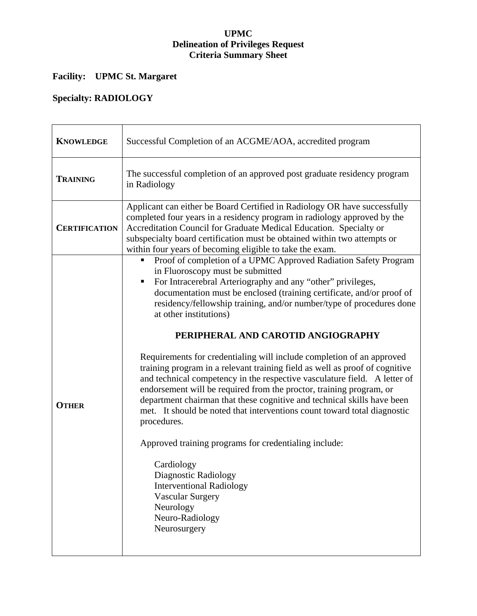#### **UPMC Delineation of Privileges Request Criteria Summary Sheet**

## **Facility: UPMC St. Margaret**

## **Specialty: RADIOLOGY**

| <b>KNOWLEDGE</b>     | Successful Completion of an ACGME/AOA, accredited program                                                                                                                                                                                                                                                                                                                                                                                                                                                                                                                                                                                                                                                                                                                                                                                                                                                                                                                                                                                                                                    |
|----------------------|----------------------------------------------------------------------------------------------------------------------------------------------------------------------------------------------------------------------------------------------------------------------------------------------------------------------------------------------------------------------------------------------------------------------------------------------------------------------------------------------------------------------------------------------------------------------------------------------------------------------------------------------------------------------------------------------------------------------------------------------------------------------------------------------------------------------------------------------------------------------------------------------------------------------------------------------------------------------------------------------------------------------------------------------------------------------------------------------|
| <b>TRAINING</b>      | The successful completion of an approved post graduate residency program<br>in Radiology                                                                                                                                                                                                                                                                                                                                                                                                                                                                                                                                                                                                                                                                                                                                                                                                                                                                                                                                                                                                     |
| <b>CERTIFICATION</b> | Applicant can either be Board Certified in Radiology OR have successfully<br>completed four years in a residency program in radiology approved by the<br>Accreditation Council for Graduate Medical Education. Specialty or<br>subspecialty board certification must be obtained within two attempts or<br>within four years of becoming eligible to take the exam.                                                                                                                                                                                                                                                                                                                                                                                                                                                                                                                                                                                                                                                                                                                          |
| <b>OTHER</b>         | Proof of completion of a UPMC Approved Radiation Safety Program<br>п<br>in Fluoroscopy must be submitted<br>For Intracerebral Arteriography and any "other" privileges,<br>п<br>documentation must be enclosed (training certificate, and/or proof of<br>residency/fellowship training, and/or number/type of procedures done<br>at other institutions)<br>PERIPHERAL AND CAROTID ANGIOGRAPHY<br>Requirements for credentialing will include completion of an approved<br>training program in a relevant training field as well as proof of cognitive<br>and technical competency in the respective vasculature field. A letter of<br>endorsement will be required from the proctor, training program, or<br>department chairman that these cognitive and technical skills have been<br>met. It should be noted that interventions count toward total diagnostic<br>procedures.<br>Approved training programs for credentialing include:<br>Cardiology<br>Diagnostic Radiology<br><b>Interventional Radiology</b><br><b>Vascular Surgery</b><br>Neurology<br>Neuro-Radiology<br>Neurosurgery |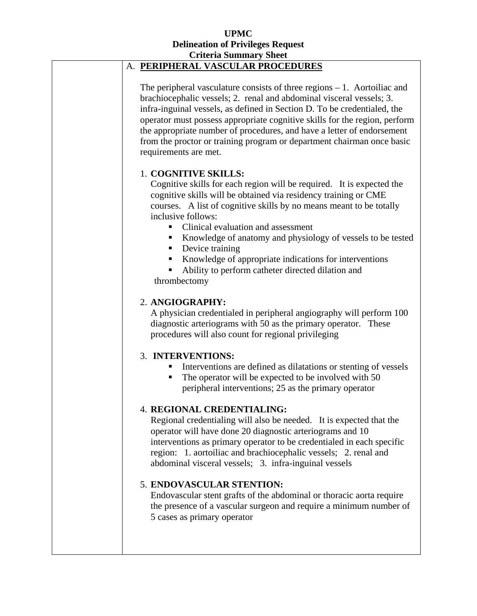#### **UPMC Delineation of Privileges Request Criteria Summary Sheet**

| Criteria Summary Sheet                                                                                                                                                                                                                                                                                                                                                                                                                                                                                                                 |
|----------------------------------------------------------------------------------------------------------------------------------------------------------------------------------------------------------------------------------------------------------------------------------------------------------------------------------------------------------------------------------------------------------------------------------------------------------------------------------------------------------------------------------------|
| A. PERIPHERAL VASCULAR PROCEDURES                                                                                                                                                                                                                                                                                                                                                                                                                                                                                                      |
| The peripheral vasculature consists of three regions $-1$ . Aortoiliac and<br>brachiocephalic vessels; 2. renal and abdominal visceral vessels; 3.<br>infra-inguinal vessels, as defined in Section D. To be credentialed, the<br>operator must possess appropriate cognitive skills for the region, perform<br>the appropriate number of procedures, and have a letter of endorsement<br>from the proctor or training program or department chairman once basic<br>requirements are met.                                              |
| 1. COGNITIVE SKILLS:<br>Cognitive skills for each region will be required. It is expected the<br>cognitive skills will be obtained via residency training or CME<br>courses. A list of cognitive skills by no means meant to be totally<br>inclusive follows:<br>Clinical evaluation and assessment<br>Knowledge of anatomy and physiology of vessels to be tested<br>Device training<br>$\blacksquare$<br>Knowledge of appropriate indications for interventions<br>Ability to perform catheter directed dilation and<br>thrombectomy |
| 2. ANGIOGRAPHY:<br>A physician credentialed in peripheral angiography will perform 100<br>diagnostic arteriograms with 50 as the primary operator. These<br>procedures will also count for regional privileging                                                                                                                                                                                                                                                                                                                        |
| 3. INTERVENTIONS:<br>Interventions are defined as dilatations or stenting of vessels<br>The operator will be expected to be involved with 50<br>ш<br>peripheral interventions; 25 as the primary operator                                                                                                                                                                                                                                                                                                                              |
| 4. REGIONAL CREDENTIALING:<br>Regional credentialing will also be needed. It is expected that the<br>operator will have done 20 diagnostic arteriograms and 10<br>interventions as primary operator to be credentialed in each specific<br>region: 1. aortoiliac and brachiocephalic vessels; 2. renal and<br>abdominal visceral vessels; 3. infra-inguinal vessels                                                                                                                                                                    |
| 5. ENDOVASCULAR STENTION:<br>Endovascular stent grafts of the abdominal or thoracic aorta require<br>the presence of a vascular surgeon and require a minimum number of<br>5 cases as primary operator                                                                                                                                                                                                                                                                                                                                 |